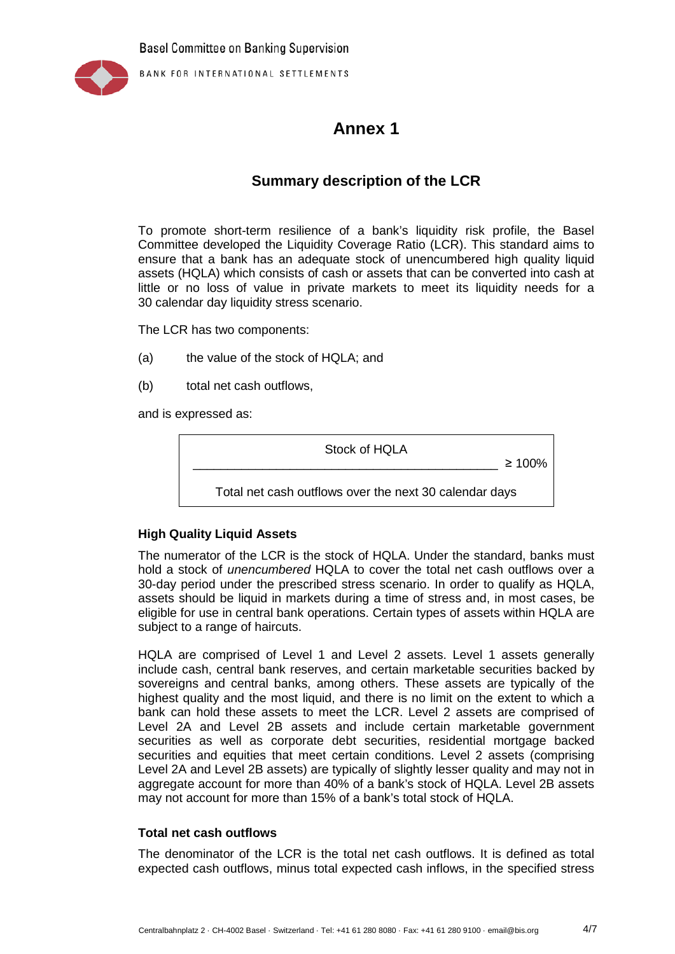

BANK FOR INTERNATIONAL SETTLEMENTS

# **Annex 1**

## **Summary description of the LCR**

To promote short-term resilience of a bank's liquidity risk profile, the Basel Committee developed the Liquidity Coverage Ratio (LCR). This standard aims to ensure that a bank has an adequate stock of unencumbered high quality liquid assets (HQLA) which consists of cash or assets that can be converted into cash at little or no loss of value in private markets to meet its liquidity needs for a 30 calendar day liquidity stress scenario.

The LCR has two components:

- (a) the value of the stock of HQLA; and
- (b) total net cash outflows,

and is expressed as:

Stock of HQLA

 $\geq 100\%$ 

Total net cash outflows over the next 30 calendar days

### **High Quality Liquid Assets**

The numerator of the LCR is the stock of HQLA. Under the standard, banks must hold a stock of *unencumbered* HQLA to cover the total net cash outflows over a 30-day period under the prescribed stress scenario. In order to qualify as HQLA, assets should be liquid in markets during a time of stress and, in most cases, be eligible for use in central bank operations. Certain types of assets within HQLA are subject to a range of haircuts.

HQLA are comprised of Level 1 and Level 2 assets. Level 1 assets generally include cash, central bank reserves, and certain marketable securities backed by sovereigns and central banks, among others. These assets are typically of the highest quality and the most liquid, and there is no limit on the extent to which a bank can hold these assets to meet the LCR. Level 2 assets are comprised of Level 2A and Level 2B assets and include certain marketable government securities as well as corporate debt securities, residential mortgage backed securities and equities that meet certain conditions. Level 2 assets (comprising Level 2A and Level 2B assets) are typically of slightly lesser quality and may not in aggregate account for more than 40% of a bank's stock of HQLA. Level 2B assets may not account for more than 15% of a bank's total stock of HQLA.

#### **Total net cash outflows**

The denominator of the LCR is the total net cash outflows. It is defined as total expected cash outflows, minus total expected cash inflows, in the specified stress